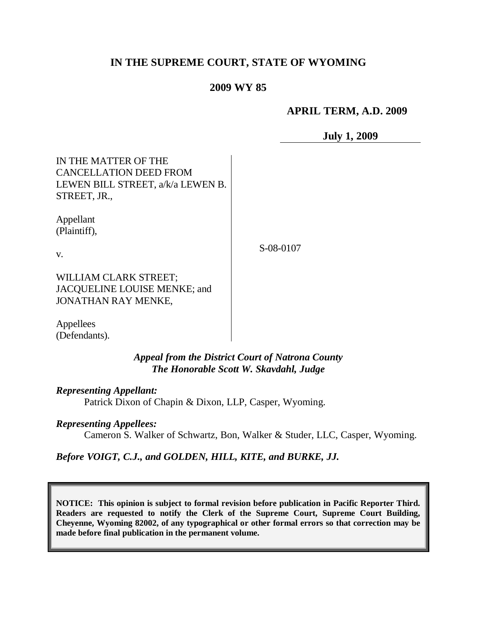## **IN THE SUPREME COURT, STATE OF WYOMING**

## **2009 WY 85**

### **APRIL TERM, A.D. 2009**

**July 1, 2009**

| IN THE MATTER OF THE<br><b>CANCELLATION DEED FROM</b><br>LEWEN BILL STREET, a/k/a LEWEN B.<br>STREET, JR., |           |
|------------------------------------------------------------------------------------------------------------|-----------|
| Appellant<br>(Plaintiff),<br>V.                                                                            | S-08-0107 |
| WILLIAM CLARK STREET;<br>JACQUELINE LOUISE MENKE; and<br>JONATHAN RAY MENKE,                               |           |
| $\sim$                                                                                                     |           |

Appellees (Defendants).

> *Appeal from the District Court of Natrona County The Honorable Scott W. Skavdahl, Judge*

*Representing Appellant:*

Patrick Dixon of Chapin & Dixon, LLP, Casper, Wyoming.

### *Representing Appellees:*

Cameron S. Walker of Schwartz, Bon, Walker & Studer, LLC, Casper, Wyoming.

*Before VOIGT, C.J., and GOLDEN, HILL, KITE, and BURKE, JJ.*

**NOTICE: This opinion is subject to formal revision before publication in Pacific Reporter Third. Readers are requested to notify the Clerk of the Supreme Court, Supreme Court Building, Cheyenne, Wyoming 82002, of any typographical or other formal errors so that correction may be made before final publication in the permanent volume.**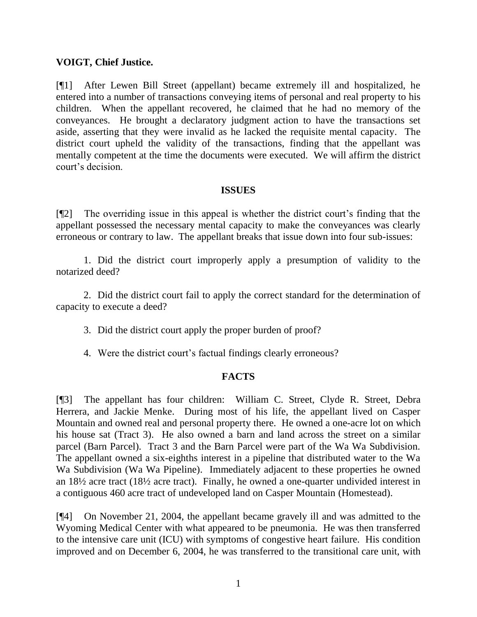## **VOIGT, Chief Justice.**

[¶1] After Lewen Bill Street (appellant) became extremely ill and hospitalized, he entered into a number of transactions conveying items of personal and real property to his children. When the appellant recovered, he claimed that he had no memory of the conveyances. He brought a declaratory judgment action to have the transactions set aside, asserting that they were invalid as he lacked the requisite mental capacity. The district court upheld the validity of the transactions, finding that the appellant was mentally competent at the time the documents were executed. We will affirm the district court's decision.

### **ISSUES**

[¶2] The overriding issue in this appeal is whether the district court's finding that the appellant possessed the necessary mental capacity to make the conveyances was clearly erroneous or contrary to law. The appellant breaks that issue down into four sub-issues:

1. Did the district court improperly apply a presumption of validity to the notarized deed?

2. Did the district court fail to apply the correct standard for the determination of capacity to execute a deed?

- 3. Did the district court apply the proper burden of proof?
- 4. Were the district court's factual findings clearly erroneous?

## **FACTS**

[¶3] The appellant has four children: William C. Street, Clyde R. Street, Debra Herrera, and Jackie Menke. During most of his life, the appellant lived on Casper Mountain and owned real and personal property there. He owned a one-acre lot on which his house sat (Tract 3). He also owned a barn and land across the street on a similar parcel (Barn Parcel). Tract 3 and the Barn Parcel were part of the Wa Wa Subdivision. The appellant owned a six-eighths interest in a pipeline that distributed water to the Wa Wa Subdivision (Wa Wa Pipeline). Immediately adjacent to these properties he owned an 18½ acre tract (18½ acre tract). Finally, he owned a one-quarter undivided interest in a contiguous 460 acre tract of undeveloped land on Casper Mountain (Homestead).

[¶4] On November 21, 2004, the appellant became gravely ill and was admitted to the Wyoming Medical Center with what appeared to be pneumonia. He was then transferred to the intensive care unit (ICU) with symptoms of congestive heart failure. His condition improved and on December 6, 2004, he was transferred to the transitional care unit, with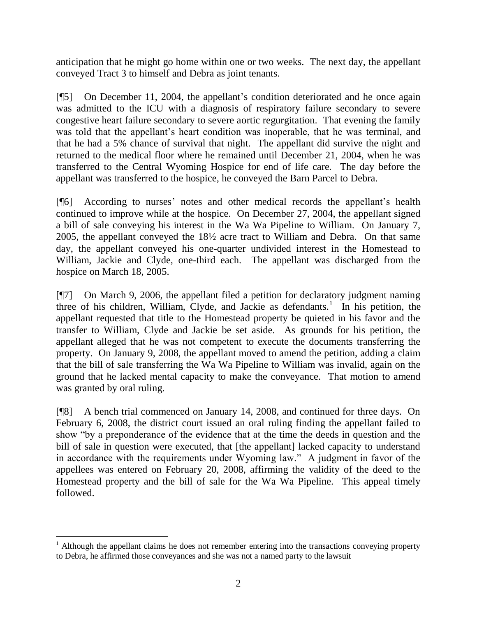anticipation that he might go home within one or two weeks. The next day, the appellant conveyed Tract 3 to himself and Debra as joint tenants.

[¶5] On December 11, 2004, the appellant's condition deteriorated and he once again was admitted to the ICU with a diagnosis of respiratory failure secondary to severe congestive heart failure secondary to severe aortic regurgitation. That evening the family was told that the appellant's heart condition was inoperable, that he was terminal, and that he had a 5% chance of survival that night. The appellant did survive the night and returned to the medical floor where he remained until December 21, 2004, when he was transferred to the Central Wyoming Hospice for end of life care. The day before the appellant was transferred to the hospice, he conveyed the Barn Parcel to Debra.

[¶6] According to nurses' notes and other medical records the appellant's health continued to improve while at the hospice. On December 27, 2004, the appellant signed a bill of sale conveying his interest in the Wa Wa Pipeline to William. On January 7, 2005, the appellant conveyed the 18½ acre tract to William and Debra. On that same day, the appellant conveyed his one-quarter undivided interest in the Homestead to William, Jackie and Clyde, one-third each. The appellant was discharged from the hospice on March 18, 2005.

[¶7] On March 9, 2006, the appellant filed a petition for declaratory judgment naming three of his children, William, Clyde, and Jackie as defendants.<sup>1</sup> In his petition, the appellant requested that title to the Homestead property be quieted in his favor and the transfer to William, Clyde and Jackie be set aside. As grounds for his petition, the appellant alleged that he was not competent to execute the documents transferring the property. On January 9, 2008, the appellant moved to amend the petition, adding a claim that the bill of sale transferring the Wa Wa Pipeline to William was invalid, again on the ground that he lacked mental capacity to make the conveyance. That motion to amend was granted by oral ruling.

[¶8] A bench trial commenced on January 14, 2008, and continued for three days. On February 6, 2008, the district court issued an oral ruling finding the appellant failed to show "by a preponderance of the evidence that at the time the deeds in question and the bill of sale in question were executed, that [the appellant] lacked capacity to understand in accordance with the requirements under Wyoming law." A judgment in favor of the appellees was entered on February 20, 2008, affirming the validity of the deed to the Homestead property and the bill of sale for the Wa Wa Pipeline. This appeal timely followed.

 $1$  Although the appellant claims he does not remember entering into the transactions conveying property to Debra, he affirmed those conveyances and she was not a named party to the lawsuit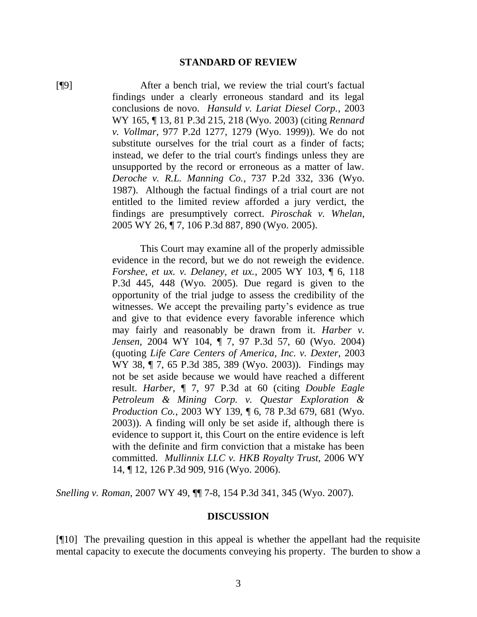#### **STANDARD OF REVIEW**

[¶9] After a bench trial, we review the trial court's factual findings under a clearly erroneous standard and its legal conclusions de novo. *Hansuld v. Lariat Diesel Corp.*, 2003 WY 165, ¶ 13, 81 P.3d 215, 218 (Wyo. 2003) (citing *Rennard v. Vollmar*, 977 P.2d 1277, 1279 (Wyo. 1999)). We do not substitute ourselves for the trial court as a finder of facts; instead, we defer to the trial court's findings unless they are unsupported by the record or erroneous as a matter of law. *Deroche v. R.L. Manning Co.*, 737 P.2d 332, 336 (Wyo. 1987). Although the factual findings of a trial court are not entitled to the limited review afforded a jury verdict, the findings are presumptively correct. *Piroschak v. Whelan*, 2005 WY 26, ¶ 7, 106 P.3d 887, 890 (Wyo. 2005).

> This Court may examine all of the properly admissible evidence in the record, but we do not reweigh the evidence. *Forshee, et ux. v. Delaney, et ux.*, 2005 WY 103, ¶ 6, 118 P.3d 445, 448 (Wyo. 2005). Due regard is given to the opportunity of the trial judge to assess the credibility of the witnesses. We accept the prevailing party's evidence as true and give to that evidence every favorable inference which may fairly and reasonably be drawn from it. *Harber v. Jensen*, 2004 WY 104, ¶ 7, 97 P.3d 57, 60 (Wyo. 2004) (quoting *Life Care Centers of America, Inc. v. Dexter*, 2003 WY 38, ¶ 7, 65 P.3d 385, 389 (Wyo. 2003)). Findings may not be set aside because we would have reached a different result. *Harber*, ¶ 7, 97 P.3d at 60 (citing *Double Eagle Petroleum & Mining Corp. v. Questar Exploration & Production Co.*, 2003 WY 139, ¶ 6, 78 P.3d 679, 681 (Wyo. 2003)). A finding will only be set aside if, although there is evidence to support it, this Court on the entire evidence is left with the definite and firm conviction that a mistake has been committed. *Mullinnix LLC v. HKB Royalty Trust*, 2006 WY 14, ¶ 12, 126 P.3d 909, 916 (Wyo. 2006).

*Snelling v. Roman*, 2007 WY 49, ¶¶ 7-8, 154 P.3d 341, 345 (Wyo. 2007).

#### **DISCUSSION**

[¶10] The prevailing question in this appeal is whether the appellant had the requisite mental capacity to execute the documents conveying his property. The burden to show a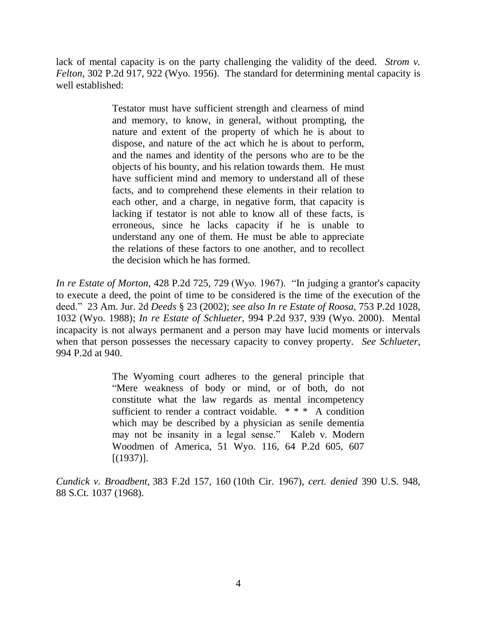lack of mental capacity is on the party challenging the validity of the deed. *Strom v. Felton*, 302 P.2d 917, 922 (Wyo. 1956). The standard for determining mental capacity is well established:

> Testator must have sufficient strength and clearness of mind and memory, to know, in general, without prompting, the nature and extent of the property of which he is about to dispose, and nature of the act which he is about to perform, and the names and identity of the persons who are to be the objects of his bounty, and his relation towards them. He must have sufficient mind and memory to understand all of these facts, and to comprehend these elements in their relation to each other, and a charge, in negative form, that capacity is lacking if testator is not able to know all of these facts, is erroneous, since he lacks capacity if he is unable to understand any one of them. He must be able to appreciate the relations of these factors to one another, and to recollect the decision which he has formed.

*In re Estate of Morton*, 428 P.2d 725, 729 (Wyo. 1967). "In judging a grantor's capacity to execute a deed, the point of time to be considered is the time of the execution of the deed." 23 Am. Jur. 2d *Deeds* § 23 (2002); *see also In re Estate of Roosa*, 753 P.2d 1028, 1032 (Wyo. 1988); *In re Estate of Schlueter*, 994 P.2d 937, 939 (Wyo. 2000). Mental incapacity is not always permanent and a person may have lucid moments or intervals when that person possesses the necessary capacity to convey property. *See Schlueter*, 994 P.2d at 940.

> The Wyoming court adheres to the general principle that "Mere weakness of body or mind, or of both, do not constitute what the law regards as mental incompetency sufficient to render a contract voidable. \* \* \* A condition which may be described by a physician as senile dementia may not be insanity in a legal sense." Kaleb v. Modern Woodmen of America, 51 Wyo. 116, 64 P.2d 605, 607 [(1937)].

*Cundick v. Broadbent*, 383 F.2d 157, 160 (10th Cir. 1967), *cert. denied* 390 U.S. 948, 88 S.Ct. 1037 (1968).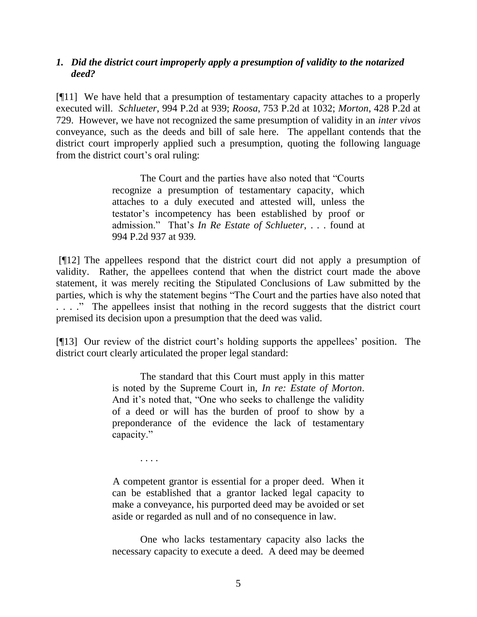### *1. Did the district court improperly apply a presumption of validity to the notarized deed?*

[¶11] We have held that a presumption of testamentary capacity attaches to a properly executed will. *Schlueter*, 994 P.2d at 939; *Roosa*, 753 P.2d at 1032; *Morton*, 428 P.2d at 729. However, we have not recognized the same presumption of validity in an *inter vivos*  conveyance, such as the deeds and bill of sale here. The appellant contends that the district court improperly applied such a presumption, quoting the following language from the district court's oral ruling:

> The Court and the parties have also noted that "Courts recognize a presumption of testamentary capacity, which attaches to a duly executed and attested will, unless the testator's incompetency has been established by proof or admission." That's *In Re Estate of Schlueter*, . . . found at 994 P.2d 937 at 939.

[¶12] The appellees respond that the district court did not apply a presumption of validity. Rather, the appellees contend that when the district court made the above statement, it was merely reciting the Stipulated Conclusions of Law submitted by the parties, which is why the statement begins "The Court and the parties have also noted that . . . ." The appellees insist that nothing in the record suggests that the district court premised its decision upon a presumption that the deed was valid.

[¶13] Our review of the district court's holding supports the appellees' position. The district court clearly articulated the proper legal standard:

> The standard that this Court must apply in this matter is noted by the Supreme Court in, *In re: Estate of Morton*. And it's noted that, "One who seeks to challenge the validity of a deed or will has the burden of proof to show by a preponderance of the evidence the lack of testamentary capacity."

> A competent grantor is essential for a proper deed. When it can be established that a grantor lacked legal capacity to make a conveyance, his purported deed may be avoided or set aside or regarded as null and of no consequence in law.

. . . .

One who lacks testamentary capacity also lacks the necessary capacity to execute a deed. A deed may be deemed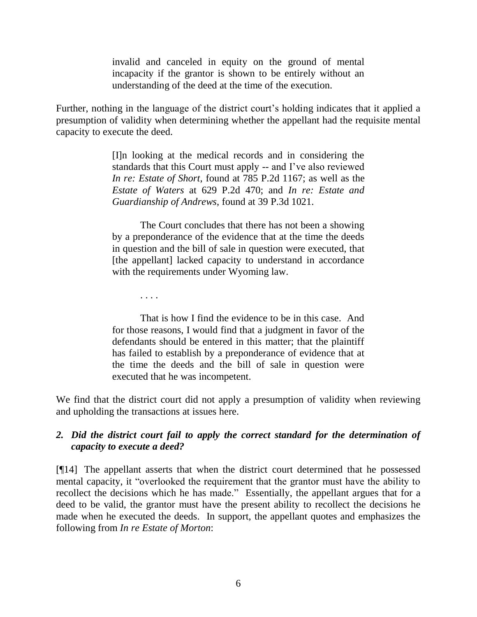invalid and canceled in equity on the ground of mental incapacity if the grantor is shown to be entirely without an understanding of the deed at the time of the execution.

Further, nothing in the language of the district court's holding indicates that it applied a presumption of validity when determining whether the appellant had the requisite mental capacity to execute the deed.

> [I]n looking at the medical records and in considering the standards that this Court must apply -- and I've also reviewed *In re: Estate of Short*, found at 785 P.2d 1167; as well as the *Estate of Waters* at 629 P.2d 470; and *In re: Estate and Guardianship of Andrews*, found at 39 P.3d 1021.

> The Court concludes that there has not been a showing by a preponderance of the evidence that at the time the deeds in question and the bill of sale in question were executed, that [the appellant] lacked capacity to understand in accordance with the requirements under Wyoming law.

> > . . . .

That is how I find the evidence to be in this case. And for those reasons, I would find that a judgment in favor of the defendants should be entered in this matter; that the plaintiff has failed to establish by a preponderance of evidence that at the time the deeds and the bill of sale in question were executed that he was incompetent.

We find that the district court did not apply a presumption of validity when reviewing and upholding the transactions at issues here.

## *2. Did the district court fail to apply the correct standard for the determination of capacity to execute a deed?*

[¶14] The appellant asserts that when the district court determined that he possessed mental capacity, it "overlooked the requirement that the grantor must have the ability to recollect the decisions which he has made." Essentially, the appellant argues that for a deed to be valid, the grantor must have the present ability to recollect the decisions he made when he executed the deeds. In support, the appellant quotes and emphasizes the following from *In re Estate of Morton*: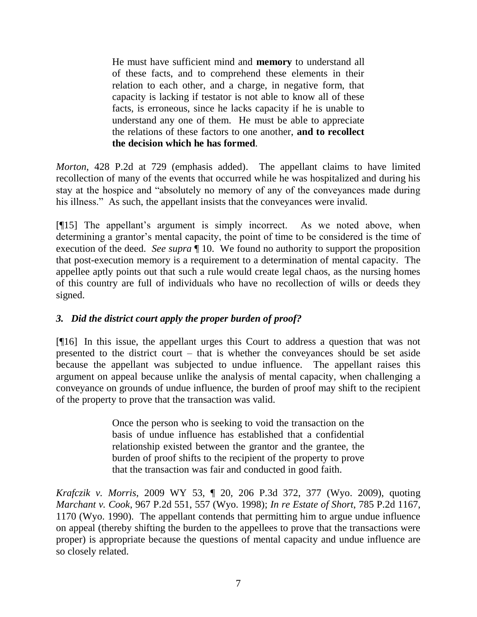He must have sufficient mind and **memory** to understand all of these facts, and to comprehend these elements in their relation to each other, and a charge, in negative form, that capacity is lacking if testator is not able to know all of these facts, is erroneous, since he lacks capacity if he is unable to understand any one of them. He must be able to appreciate the relations of these factors to one another, **and to recollect the decision which he has formed**.

*Morton*, 428 P.2d at 729 (emphasis added). The appellant claims to have limited recollection of many of the events that occurred while he was hospitalized and during his stay at the hospice and "absolutely no memory of any of the conveyances made during his illness." As such, the appellant insists that the conveyances were invalid.

[¶15] The appellant's argument is simply incorrect. As we noted above, when determining a grantor's mental capacity, the point of time to be considered is the time of execution of the deed. *See supra* ¶ 10. We found no authority to support the proposition that post-execution memory is a requirement to a determination of mental capacity. The appellee aptly points out that such a rule would create legal chaos, as the nursing homes of this country are full of individuals who have no recollection of wills or deeds they signed.

# *3. Did the district court apply the proper burden of proof?*

[¶16] In this issue, the appellant urges this Court to address a question that was not presented to the district court – that is whether the conveyances should be set aside because the appellant was subjected to undue influence. The appellant raises this argument on appeal because unlike the analysis of mental capacity, when challenging a conveyance on grounds of undue influence, the burden of proof may shift to the recipient of the property to prove that the transaction was valid.

> Once the person who is seeking to void the transaction on the basis of undue influence has established that a confidential relationship existed between the grantor and the grantee, the burden of proof shifts to the recipient of the property to prove that the transaction was fair and conducted in good faith.

*Krafczik v. Morris*, 2009 WY 53, ¶ 20, 206 P.3d 372, 377 (Wyo. 2009), quoting *Marchant v. Cook*, 967 P.2d 551, 557 (Wyo. 1998); *In re Estate of Short*, 785 P.2d 1167, 1170 (Wyo. 1990). The appellant contends that permitting him to argue undue influence on appeal (thereby shifting the burden to the appellees to prove that the transactions were proper) is appropriate because the questions of mental capacity and undue influence are so closely related.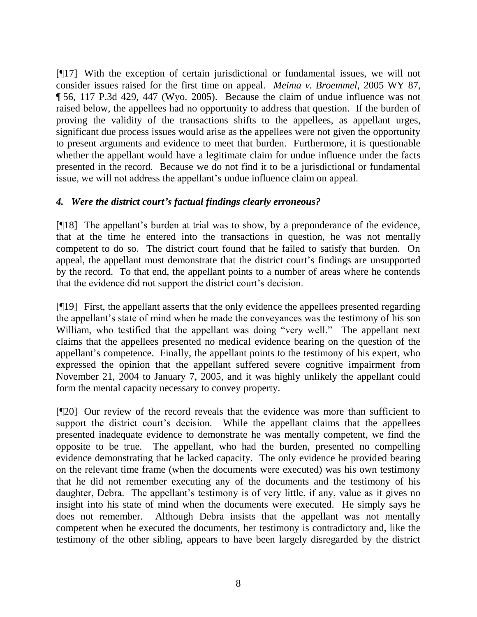[¶17] With the exception of certain jurisdictional or fundamental issues, we will not consider issues raised for the first time on appeal. *Meima v. Broemmel*, 2005 WY 87, ¶ 56, 117 P.3d 429, 447 (Wyo. 2005). Because the claim of undue influence was not raised below, the appellees had no opportunity to address that question. If the burden of proving the validity of the transactions shifts to the appellees, as appellant urges, significant due process issues would arise as the appellees were not given the opportunity to present arguments and evidence to meet that burden. Furthermore, it is questionable whether the appellant would have a legitimate claim for undue influence under the facts presented in the record. Because we do not find it to be a jurisdictional or fundamental issue, we will not address the appellant's undue influence claim on appeal.

## *4. Were the district court's factual findings clearly erroneous?*

[¶18] The appellant's burden at trial was to show, by a preponderance of the evidence, that at the time he entered into the transactions in question, he was not mentally competent to do so. The district court found that he failed to satisfy that burden. On appeal, the appellant must demonstrate that the district court's findings are unsupported by the record. To that end, the appellant points to a number of areas where he contends that the evidence did not support the district court's decision.

[¶19] First, the appellant asserts that the only evidence the appellees presented regarding the appellant's state of mind when he made the conveyances was the testimony of his son William, who testified that the appellant was doing "very well." The appellant next claims that the appellees presented no medical evidence bearing on the question of the appellant's competence. Finally, the appellant points to the testimony of his expert, who expressed the opinion that the appellant suffered severe cognitive impairment from November 21, 2004 to January 7, 2005, and it was highly unlikely the appellant could form the mental capacity necessary to convey property.

[¶20] Our review of the record reveals that the evidence was more than sufficient to support the district court's decision. While the appellant claims that the appellees presented inadequate evidence to demonstrate he was mentally competent, we find the opposite to be true. The appellant, who had the burden, presented no compelling evidence demonstrating that he lacked capacity. The only evidence he provided bearing on the relevant time frame (when the documents were executed) was his own testimony that he did not remember executing any of the documents and the testimony of his daughter, Debra. The appellant's testimony is of very little, if any, value as it gives no insight into his state of mind when the documents were executed. He simply says he does not remember. Although Debra insists that the appellant was not mentally competent when he executed the documents, her testimony is contradictory and, like the testimony of the other sibling, appears to have been largely disregarded by the district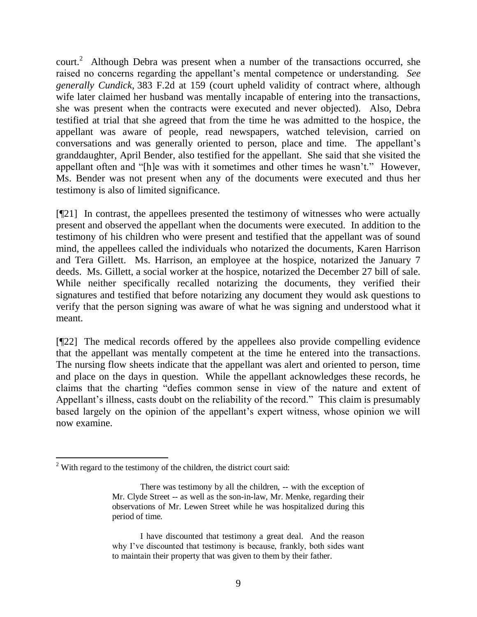court.<sup>2</sup> Although Debra was present when a number of the transactions occurred, she raised no concerns regarding the appellant's mental competence or understanding. *See generally Cundick*, 383 F.2d at 159 (court upheld validity of contract where, although wife later claimed her husband was mentally incapable of entering into the transactions, she was present when the contracts were executed and never objected). Also, Debra testified at trial that she agreed that from the time he was admitted to the hospice, the appellant was aware of people, read newspapers, watched television, carried on conversations and was generally oriented to person, place and time. The appellant's granddaughter, April Bender, also testified for the appellant. She said that she visited the appellant often and "[h]e was with it sometimes and other times he wasn't." However, Ms. Bender was not present when any of the documents were executed and thus her testimony is also of limited significance.

[¶21] In contrast, the appellees presented the testimony of witnesses who were actually present and observed the appellant when the documents were executed. In addition to the testimony of his children who were present and testified that the appellant was of sound mind, the appellees called the individuals who notarized the documents, Karen Harrison and Tera Gillett. Ms. Harrison, an employee at the hospice, notarized the January 7 deeds. Ms. Gillett, a social worker at the hospice, notarized the December 27 bill of sale. While neither specifically recalled notarizing the documents, they verified their signatures and testified that before notarizing any document they would ask questions to verify that the person signing was aware of what he was signing and understood what it meant.

[¶22] The medical records offered by the appellees also provide compelling evidence that the appellant was mentally competent at the time he entered into the transactions. The nursing flow sheets indicate that the appellant was alert and oriented to person, time and place on the days in question. While the appellant acknowledges these records, he claims that the charting "defies common sense in view of the nature and extent of Appellant's illness, casts doubt on the reliability of the record." This claim is presumably based largely on the opinion of the appellant's expert witness, whose opinion we will now examine.

 $\overline{a}$ 

 $2$  With regard to the testimony of the children, the district court said:

There was testimony by all the children, -- with the exception of Mr. Clyde Street -- as well as the son-in-law, Mr. Menke, regarding their observations of Mr. Lewen Street while he was hospitalized during this period of time.

I have discounted that testimony a great deal. And the reason why I've discounted that testimony is because, frankly, both sides want to maintain their property that was given to them by their father.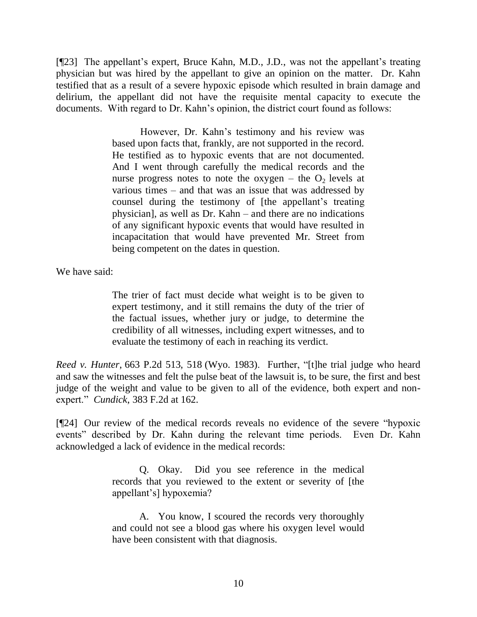[¶23] The appellant's expert, Bruce Kahn, M.D., J.D., was not the appellant's treating physician but was hired by the appellant to give an opinion on the matter. Dr. Kahn testified that as a result of a severe hypoxic episode which resulted in brain damage and delirium, the appellant did not have the requisite mental capacity to execute the documents. With regard to Dr. Kahn's opinion, the district court found as follows:

> However, Dr. Kahn's testimony and his review was based upon facts that, frankly, are not supported in the record. He testified as to hypoxic events that are not documented. And I went through carefully the medical records and the nurse progress notes to note the oxygen – the  $O_2$  levels at various times – and that was an issue that was addressed by counsel during the testimony of [the appellant's treating physician], as well as Dr. Kahn – and there are no indications of any significant hypoxic events that would have resulted in incapacitation that would have prevented Mr. Street from being competent on the dates in question.

We have said:

The trier of fact must decide what weight is to be given to expert testimony, and it still remains the duty of the trier of the factual issues, whether jury or judge, to determine the credibility of all witnesses, including expert witnesses, and to evaluate the testimony of each in reaching its verdict.

*Reed v. Hunter*, 663 P.2d 513, 518 (Wyo. 1983). Further, "[t]he trial judge who heard and saw the witnesses and felt the pulse beat of the lawsuit is, to be sure, the first and best judge of the weight and value to be given to all of the evidence, both expert and nonexpert." *Cundick*, 383 F.2d at 162.

[¶24] Our review of the medical records reveals no evidence of the severe "hypoxic events" described by Dr. Kahn during the relevant time periods. Even Dr. Kahn acknowledged a lack of evidence in the medical records:

> Q. Okay. Did you see reference in the medical records that you reviewed to the extent or severity of [the appellant's] hypoxemia?

> A. You know, I scoured the records very thoroughly and could not see a blood gas where his oxygen level would have been consistent with that diagnosis.